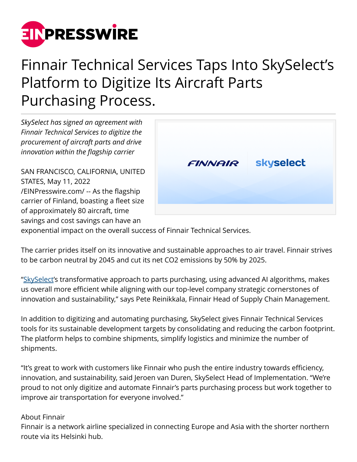

## Finnair Technical Services Taps Into SkySelect's Platform to Digitize Its Aircraft Parts Purchasing Process.

*SkySelect has signed an agreement with Finnair Technical Services to digitize the procurement of aircraft parts and drive innovation within the flagship carrier*

SAN FRANCISCO, CALIFORNIA, UNITED STATES, May 11, 2022 [/EINPresswire.com/](http://www.einpresswire.com) -- As the flagship carrier of Finland, boasting a fleet size of approximately 80 aircraft, time savings and cost savings can have an



exponential impact on the overall success of Finnair Technical Services.

The carrier prides itself on its innovative and sustainable approaches to air travel. Finnair strives to be carbon neutral by 2045 and cut its net CO2 emissions by 50% by 2025.

["SkySelect](https://www.skyselect.com/insights/finnair-technical-services-taps-into-skyselects-platform)'s transformative approach to parts purchasing, using advanced AI algorithms, makes us overall more efficient while aligning with our top-level company strategic cornerstones of innovation and sustainability," says Pete Reinikkala, Finnair Head of Supply Chain Management.

In addition to digitizing and automating purchasing, SkySelect gives Finnair Technical Services tools for its sustainable development targets by consolidating and reducing the carbon footprint. The platform helps to combine shipments, simplify logistics and minimize the number of shipments.

"It's great to work with customers like Finnair who push the entire industry towards efficiency, innovation, and sustainability, said Jeroen van Duren, SkySelect Head of Implementation. "We're proud to not only digitize and automate Finnair's parts purchasing process but work together to improve air transportation for everyone involved."

## About Finnair

Finnair is a network airline specialized in connecting Europe and Asia with the shorter northern route via its Helsinki hub.